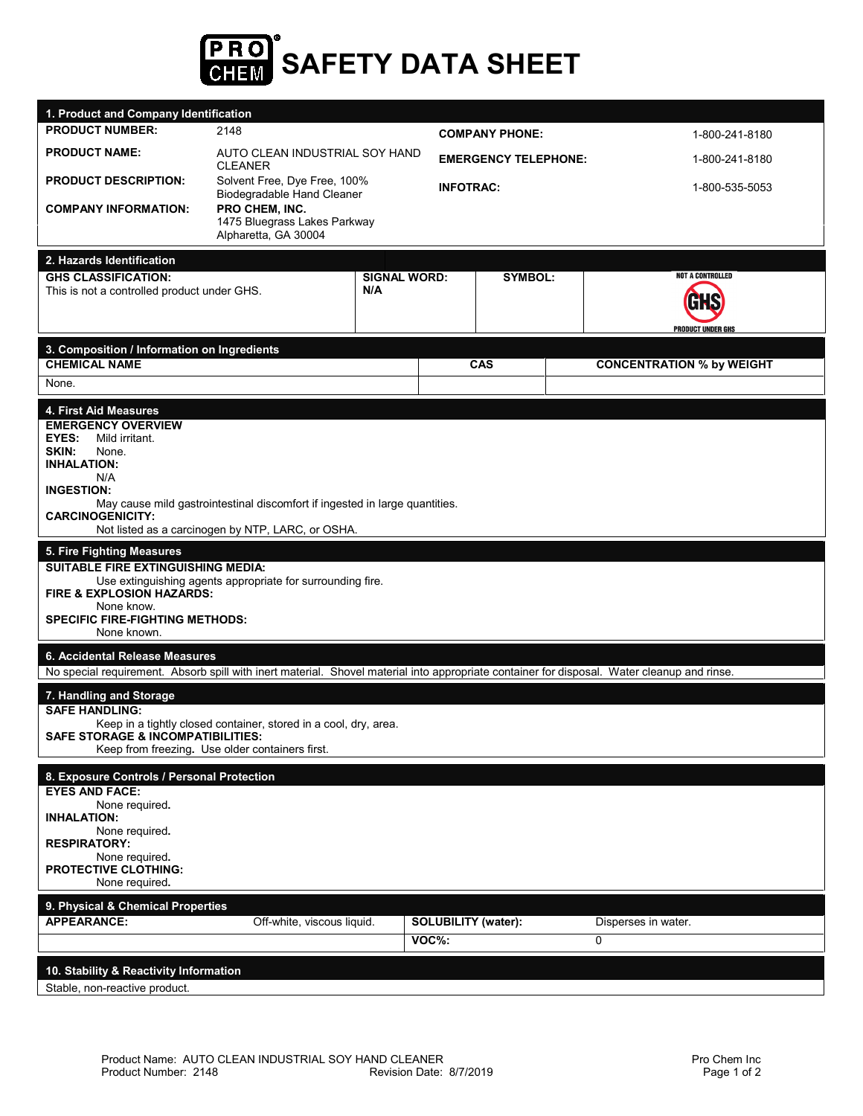

|                                                                                                                                                                                                                                                                                                                         | 1. Product and Company Identification                                                                               |                            |                                     |                             |  |                                              |  |
|-------------------------------------------------------------------------------------------------------------------------------------------------------------------------------------------------------------------------------------------------------------------------------------------------------------------------|---------------------------------------------------------------------------------------------------------------------|----------------------------|-------------------------------------|-----------------------------|--|----------------------------------------------|--|
| <b>PRODUCT NUMBER:</b>                                                                                                                                                                                                                                                                                                  | 2148                                                                                                                |                            |                                     | <b>COMPANY PHONE:</b>       |  | 1-800-241-8180                               |  |
| <b>PRODUCT NAME:</b>                                                                                                                                                                                                                                                                                                    | AUTO CLEAN INDUSTRIAL SOY HAND<br><b>CLEANER</b>                                                                    |                            |                                     | <b>EMERGENCY TELEPHONE:</b> |  | 1-800-241-8180                               |  |
| <b>PRODUCT DESCRIPTION:</b>                                                                                                                                                                                                                                                                                             | Solvent Free, Dye Free, 100%<br>Biodegradable Hand Cleaner                                                          |                            |                                     | <b>INFOTRAC:</b>            |  | 1-800-535-5053                               |  |
| <b>COMPANY INFORMATION:</b>                                                                                                                                                                                                                                                                                             | PRO CHEM, INC.<br>1475 Bluegrass Lakes Parkway<br>Alpharetta, GA 30004                                              |                            |                                     |                             |  |                                              |  |
| 2. Hazards Identification<br><b>GHS CLASSIFICATION:</b><br>This is not a controlled product under GHS.                                                                                                                                                                                                                  |                                                                                                                     | <b>SIGNAL WORD:</b><br>N/A |                                     | <b>SYMBOL:</b>              |  | <b>NOT A CONTROLLED</b><br>PRODUCT UNDER GHS |  |
| 3. Composition / Information on Ingredients                                                                                                                                                                                                                                                                             |                                                                                                                     |                            |                                     |                             |  |                                              |  |
| <b>CHEMICAL NAME</b><br>None.                                                                                                                                                                                                                                                                                           |                                                                                                                     |                            |                                     | CAS                         |  | <b>CONCENTRATION % by WEIGHT</b>             |  |
| 4. First Aid Measures<br><b>EMERGENCY OVERVIEW</b><br><b>EYES:</b><br>Mild irritant.<br>SKIN:<br>None.<br><b>INHALATION:</b><br>N/A<br><b>INGESTION:</b><br>May cause mild gastrointestinal discomfort if ingested in large quantities.<br><b>CARCINOGENICITY:</b><br>Not listed as a carcinogen by NTP, LARC, or OSHA. |                                                                                                                     |                            |                                     |                             |  |                                              |  |
| 5. Fire Fighting Measures                                                                                                                                                                                                                                                                                               |                                                                                                                     |                            |                                     |                             |  |                                              |  |
| <b>SUITABLE FIRE EXTINGUISHING MEDIA:</b><br>FIRE & EXPLOSION HAZARDS:<br>None know.<br><b>SPECIFIC FIRE-FIGHTING METHODS:</b><br>None known.                                                                                                                                                                           | Use extinguishing agents appropriate for surrounding fire.                                                          |                            |                                     |                             |  |                                              |  |
| 6. Accidental Release Measures                                                                                                                                                                                                                                                                                          |                                                                                                                     |                            |                                     |                             |  |                                              |  |
| No special requirement. Absorb spill with inert material. Shovel material into appropriate container for disposal. Water cleanup and rinse.                                                                                                                                                                             |                                                                                                                     |                            |                                     |                             |  |                                              |  |
| 7. Handling and Storage<br><b>SAFE HANDLING:</b><br><b>SAFE STORAGE &amp; INCOMPATIBILITIES:</b>                                                                                                                                                                                                                        | Keep in a tightly closed container, stored in a cool, dry, area.<br>Keep from freezing. Use older containers first. |                            |                                     |                             |  |                                              |  |
| 8. Exposure Controls / Personal Protection<br><b>EYES AND FACE:</b><br>None required.<br><b>INHALATION:</b><br>None required.<br><b>RESPIRATORY:</b><br>None required.<br><b>PROTECTIVE CLOTHING:</b><br>None required.                                                                                                 |                                                                                                                     |                            |                                     |                             |  |                                              |  |
| 9. Physical & Chemical Properties                                                                                                                                                                                                                                                                                       |                                                                                                                     |                            |                                     |                             |  |                                              |  |
| <b>APPEARANCE:</b>                                                                                                                                                                                                                                                                                                      | Off-white, viscous liquid.                                                                                          |                            | <b>SOLUBILITY</b> (water):<br>VOC%: |                             |  | Disperses in water.<br>0                     |  |
|                                                                                                                                                                                                                                                                                                                         |                                                                                                                     |                            |                                     |                             |  |                                              |  |
| 10. Stability & Reactivity Information<br>Stable, non-reactive product.                                                                                                                                                                                                                                                 |                                                                                                                     |                            |                                     |                             |  |                                              |  |